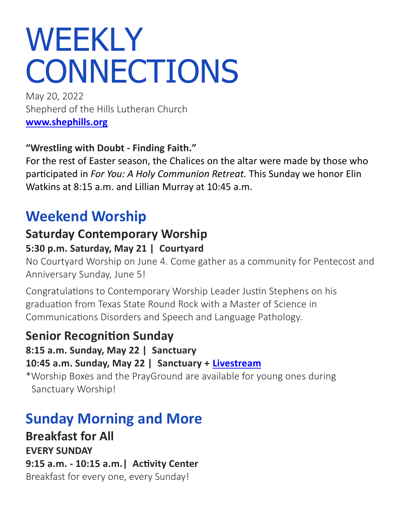# WEEKLY **CONNECTIONS**

May 20, 2022 Shepherd of the Hills Lutheran Church **[www.shephills.org](http://www.shephills.org)**

#### **"Wrestling with Doubt - Finding Faith."**

For the rest of Easter season, the Chalices on the altar were made by those who participated in *For You: A Holy Communion Retreat.* This Sunday we honor Elin Watkins at 8:15 a.m. and Lillian Murray at 10:45 a.m.

# **Weekend Worship**

# **Saturday Contemporary Worship**

#### **5:30 p.m. Saturday, May 21 | Courtyard**

No Courtyard Worship on June 4. Come gather as a community for Pentecost and Anniversary Sunday, June 5!

Congratulations to Contemporary Worship Leader Justin Stephens on his graduation from Texas State Round Rock with a Master of Science in Communications Disorders and Speech and Language Pathology.

### **Senior Recognition Sunday**

#### **8:15 a.m. Sunday, May 22 | Sanctuary**

#### **10:45 a.m. Sunday, May 22 | Sanctuary + [Livestream](http://www.shephills.org/watch)**

\*Worship Boxes and the PrayGround are available for young ones during Sanctuary Worship!

# **Sunday Morning and More**

**Breakfast for All EVERY SUNDAY 9:15 a.m. - 10:15 a.m.| Activity Center** Breakfast for every one, every Sunday!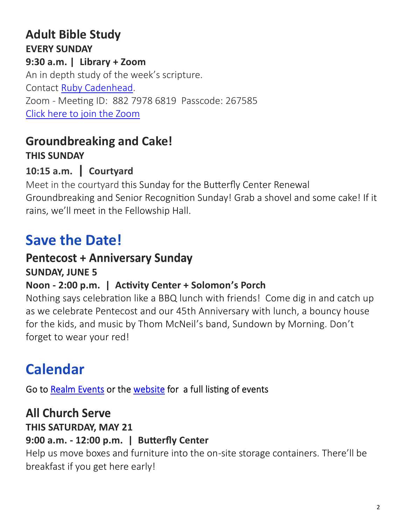### **Adult Bible Study EVERY SUNDAY 9:30 a.m. | Library + Zoom** An in depth study of the week's scripture. Contact [Ruby Cadenhead.](mailto:rubies61@gmail.com) Zoom - Meeting ID: 882 7978 6819 Passcode: 267585

[Click here to join the Zoom](https://us02web.zoom.us/j/88279786819?pwd=Uytzc1NsT0xCWlM5dnVCMlBFZ1djUT09)

#### **Groundbreaking and Cake! THIS SUNDAY**

### **10:15 a.m. | Courtyard**

Meet in the courtyard this Sunday for the Butterfly Center Renewal Groundbreaking and Senior Recognition Sunday! Grab a shovel and some cake! If it rains, we'll meet in the Fellowship Hall.

# **Save the Date!**

# **Pentecost + Anniversary Sunday**

#### **SUNDAY, JUNE 5**

#### **Noon - 2:00 p.m. | Activity Center + Solomon's Porch**

Nothing says celebration like a BBQ lunch with friends! Come dig in and catch up as we celebrate Pentecost and our 45th Anniversary with lunch, a bouncy house for the kids, and music by Thom McNeil's band, Sundown by Morning. Don't forget to wear your red!

# **Calendar**

Go to Realm Events or the website for a full listing of events

### **All Church Serve**

#### **THIS SATURDAY, MAY 21**

#### **9:00 a.m. - 12:00 p.m. | Butterfly Center**

Help us move boxes and furniture into the on-site storage containers. There'll be breakfast if you get here early!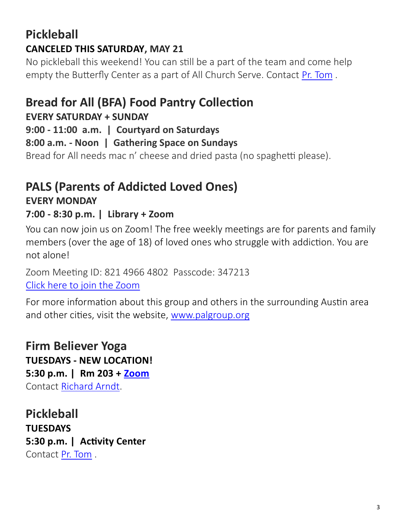### **Pickleball CANCELED THIS SATURDAY, MAY 21**

No pickleball this weekend! You can still be a part of the team and come help empty the Butterfly Center as a part of All Church Serve. Contact [Pr. Tom](mailto:tom@shephills.org) .

## **Bread for All (BFA) Food Pantry Collection**

#### **EVERY SATURDAY + SUNDAY**

**9:00 - 11:00 a.m. | Courtyard on Saturdays**

**8:00 a.m. - Noon | Gathering Space on Sundays**

Bread for All needs mac n' cheese and dried pasta (no spaghetti please).

### **PALS (Parents of Addicted Loved Ones) EVERY MONDAY**

#### **7:00 - 8:30 p.m. | Library + Zoom**

You can now join us on Zoom! The free weekly meetings are for parents and family members (over the age of 18) of loved ones who struggle with addiction. You are not alone!

Zoom Meeting ID: 821 4966 4802 Passcode: 347213 [Click here to join the Zoom](https://us02web.zoom.us/j/82149664802?pwd=UW1Tc3NOdEpQbXBSQlZWY0NMZ1J0QT09)

For more information about this group and others in the surrounding Austin area and other cities, visit the website, [www.palgroup.org](http://www.palgroup.org)

### **Firm Believer Yoga**

**TUESDAYS - NEW LOCATION! 5:30 p.m. | Rm 203 + [Zoom](https://us02web.zoom.us/j/88431433954?pwd=T2g1RG1JRk5xNUpEZ2VHd0FNUHFadz09)** Contact [Richard Arndt.](mailto:richardlarndt@gmail.com)

**Pickleball TUESDAYS 5:30 p.m. | Activity Center**  Contact [Pr. Tom](mailto:tom@shephills.org) .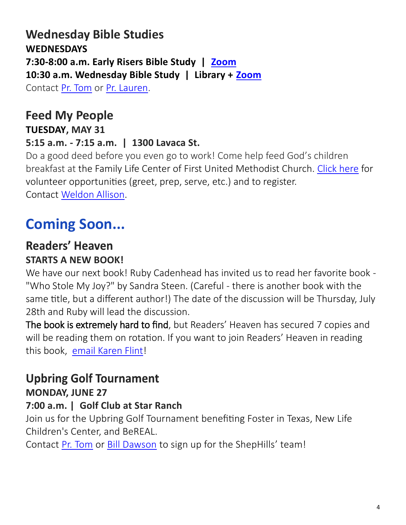#### **Wednesday Bible Studies WEDNESDAYS 7:30-8:00 a.m. Early Risers Bible Study | [Zoom](https://us02web.zoom.us/j/88431433954?pwd=T2g1RG1JRk5xNUpEZ2VHd0FNUHFadz09) 10:30 a.m. Wednesday Bible Study | Library + [Zoom](https://us02web.zoom.us/j/83923102323?pwd=YTk4UFBjWWNjU1YzenJqeTNMaE0yQT09)** Contact [Pr. Tom](mailto:tom@shephills.org) or [Pr. Lauren.](mailto:lauren@shephills.org)

# **Feed My People**

#### **TUESDAY, MAY 31**

#### **5:15 a.m. - 7:15 a.m. | 1300 Lavaca St.**

Do a good deed before you even go to work! Come help feed God's children breakfast at the Family Life Center of First United Methodist Church. [Click here](https://www.signupgenius.com/go/805094cabae2faaf94-feed3) for volunteer opportunities (greet, prep, serve, etc.) and to register. Contact [Weldon Allison.](mailto:weldon.allison.46@gmail.com)

**Coming Soon...**

# **Readers' Heaven**

# **STARTS A NEW BOOK!**

We have our next book! Ruby Cadenhead has invited us to read her favorite book - "Who Stole My Joy?" by Sandra Steen. (Careful - there is another book with the same title, but a different author!) The date of the discussion will be Thursday, July 28th and Ruby will lead the discussion.

The book is extremely hard to find, but Readers' Heaven has secured 7 copies and will be reading them on rotation. If you want to join Readers' Heaven in reading this book, [email Karen Flint!](mailto:karenflint@me.com?subject=Readers%E2%80%99%20Heaven)

### **Upbring Golf Tournament**

### **MONDAY, JUNE 27**

#### **7:00 a.m. | Golf Club at Star Ranch**

Join us for the Upbring Golf Tournament benefiting Foster in Texas, New Life Children's Center, and BeREAL.

Contact [Pr. Tom](mailto:tom@shephills.org) or [Bill Dawson](mailto:bill@shephills.org) to sign up for the ShepHills' team!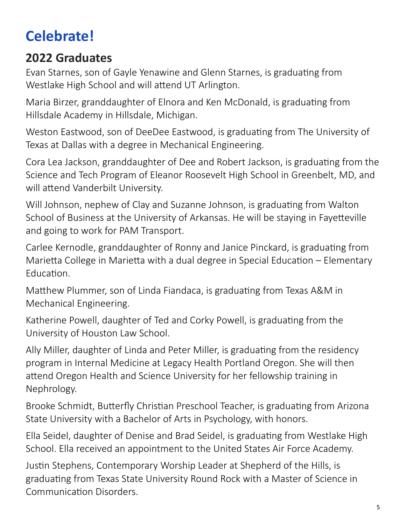# **Celebrate!**

# **2022 Graduates**

Evan Starnes, son of Gayle Yenawine and Glenn Starnes, is graduating from Westlake High School and will attend UT Arlington.

Maria Birzer, granddaughter of Elnora and Ken McDonald, is graduating from Hillsdale Academy in Hillsdale, Michigan.

Weston Eastwood, son of DeeDee Eastwood, is graduating from The University of Texas at Dallas with a degree in Mechanical Engineering.

Cora Lea Jackson, granddaughter of Dee and Robert Jackson, is graduating from the Science and Tech Program of Eleanor Roosevelt High School in Greenbelt, MD, and will attend Vanderbilt University.

Will Johnson, nephew of Clay and Suzanne Johnson, is graduating from Walton School of Business at the University of Arkansas. He will be staying in Fayetteville and going to work for PAM Transport.

Carlee Kernodle, granddaughter of Ronny and Janice Pinckard, is graduating from Marietta College in Marietta with a dual degree in Special Education – Elementary Education.

Matthew Plummer, son of Linda Fiandaca, is graduating from Texas A&M in Mechanical Engineering.

Katherine Powell, daughter of Ted and Corky Powell, is graduating from the University of Houston Law School.

Ally Miller, daughter of Linda and Peter Miller, is graduating from the residency program in Internal Medicine at Legacy Health Portland Oregon. She will then attend Oregon Health and Science University for her fellowship training in Nephrology.

Brooke Schmidt, Butterfly Christian Preschool Teacher, is graduating from Arizona State University with a Bachelor of Arts in Psychology, with honors.

Ella Seidel, daughter of Denise and Brad Seidel, is graduating from Westlake High School. Ella received an appointment to the United States Air Force Academy.

Justin Stephens, Contemporary Worship Leader at Shepherd of the Hills, is graduating from Texas State University Round Rock with a Master of Science in Communication Disorders.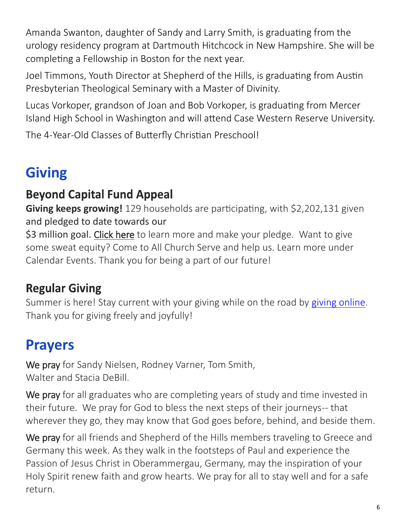Amanda Swanton, daughter of Sandy and Larry Smith, is graduating from the urology residency program at Dartmouth Hitchcock in New Hampshire. She will be completing a Fellowship in Boston for the next year.

Joel Timmons, Youth Director at Shepherd of the Hills, is graduating from Austin Presbyterian Theological Seminary with a Master of Divinity.

Lucas Vorkoper, grandson of Joan and Bob Vorkoper, is graduating from Mercer Island High School in Washington and will attend Case Western Reserve University.

The 4-Year-Old Classes of Butterfly Christian Preschool!

# **Giving**

# **Beyond Capital Fund Appeal**

**Giving keeps growing!** 129 households are participating, with \$2,202,131 given and pledged to date towards our

\$3 million goal. [Click here](https://shephills.org/beyond/) to learn more and make your pledge. Want to give some sweat equity? Come to All Church Serve and help us. Learn more under Calendar Events. Thank you for being a part of our future!

# **Regular Giving**

Summer is here! Stay current with your giving while on the road by [giving online.](https://shephills.org/give/) Thank you for giving freely and joyfully!

# **Prayers**

We pray for Sandy Nielsen, Rodney Varner, Tom Smith, Walter and Stacia DeBill.

We pray for all graduates who are completing years of study and time invested in their future. We pray for God to bless the next steps of their journeys-- that wherever they go, they may know that God goes before, behind, and beside them.

We pray for all friends and Shepherd of the Hills members traveling to Greece and Germany this week. As they walk in the footsteps of Paul and experience the Passion of Jesus Christ in Oberammergau, Germany, may the inspiration of your Holy Spirit renew faith and grow hearts. We pray for all to stay well and for a safe return.